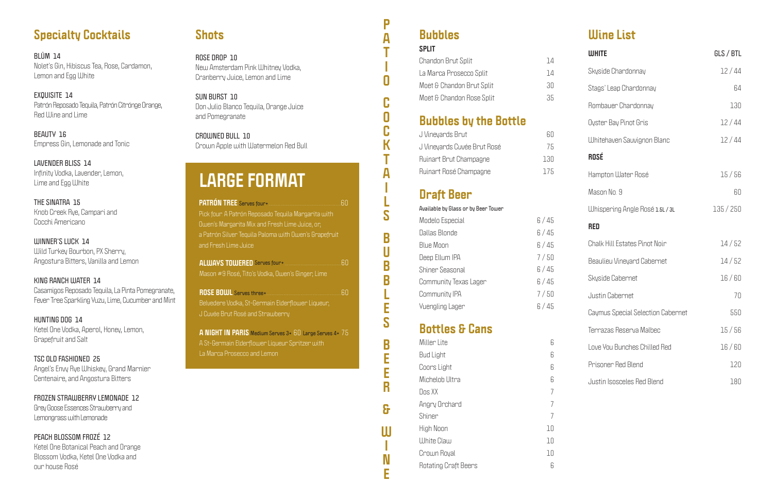# **Specialty Cocktails**

BLÜM 14 Nolet's Gin, Hibiscus Tea, Rose, Cardamon, Lemon and Egg White

EXQUISITE 14 Patrón Reposado Tequila, Patrón Citrónge Orange, Red Wine and Lime

**BEAUTY 16** Empress Gin, Lemonade and Tonic

LAVENDER BLISS 14 Infinity Vodka, Lavender, Lemon, Lime and Egg White

THE SINATRA 15 Knob Creek Rye, Campari and Cocchi Americano

**WINNER'S LUCK 14** Wild Turkey Bourbon, PX Sherry, Angostura Bitters, Vanilla and Lemon

KING RANCH WATER 14 Casamigos Reposado Tequila, La Pinta Pomegranate, Fever Tree Sparkling Yuzu, Lime, Cucumber and Mint

HUNTING DOG 14 Ketel One Vodka, Aperol, Honey, Lemon, **Grapefruit and Salt** 

TSC OLD FASHIONED 25 Angel's Envy Rye Whiskey, Grand Marnier Centenaire, and Angostura Bitters

FROZEN STRAWBERRY LEMONADE 12 Grey Goose Essences Strawberry and Lemongrass with Lemonade

PEACH BLOSSOM FROZÉ 12 Ketel One Botanical Peach and Orange Blossom Vodka, Ketel One Vodka and our house Rosé

# **Shots**

ROSE DROP 10 New Amsterdam Pink Whitney Vodka, Cranberry Juice, Lemon and Lime

SUN BURST 10 Don Julio Blanco Tequila, Orange Juice and Pomegranate

CROWNED BULL 10 Crown Apple with Watermelon Red Bull

# **LARGE FORMAT**

|                                                       | 60  |
|-------------------------------------------------------|-----|
| Pick four. A Patrón Reposado Tequila Margarita with   |     |
| Owen's Margarita Mix and Fresh Lime Juice, or,        |     |
| a Patrón Silver Tequila Paloma with Owen's Grapefruit |     |
| and Fresh Lime Juice                                  |     |
|                                                       | .60 |
| Mason #9 Rosé, Tito's Vodka, Owen's Ginger, Lime      |     |
|                                                       | 60  |
|                                                       |     |
| Belvedere Vodka, St-Germain Elderflower Liqueur,      |     |
| $104 - 0 + 0 - 4$ and $0 + $                          |     |

A NIGHT IN PARIS Medium Serves 3+ 60 Large Serves 4+ 75 A St-Germain Elderflower Liqueur Spritzer with La Marca Prosecco and Lemon

#### **Bubbles**  $\overline{a}$

P

 $\overline{\mathsf{A}}$ 

Π

Ċ

0

 $\mathsf K$ 

A

S

 $\overline{\mathbf{B}}$ 

U

 $\overline{\mathsf{B}}$ 

B

Ē

S

 $\overline{\mathsf{B}}$ 

E

E

R

8

 $\mathsf{U}$ 

N

Ē

| <b>SPLIT</b>              |    |
|---------------------------|----|
| <b>Chandon Brut Split</b> | 14 |
| La Marca Prosecco Split   | 14 |
| Moët & Chandon Brut Split | 30 |
| Moët & Chandon Rose Split | 35 |
|                           |    |

# **Bubbles by the Bottle**

| J Vineyards Brut            | RГ   |
|-----------------------------|------|
| J Vineyards Cuvée Brut Rosé | 75   |
| Ruinart Brut Champagne      | 130  |
| Ruinart Rosé Champagne      | 17.F |

# **Draft Beer**

| Available by Glass or by Beer Tower |      |
|-------------------------------------|------|
| Modelo Especial                     | 6/45 |
| Dallas Blonde                       | 6/45 |
| Blue Moon                           | 6/45 |
| Deep Ellum IPA                      | 7/50 |
| Shiner Seasonal                     | 6/45 |
| Community Texas Lager               | 6/45 |
| Community IPA                       | 7/50 |
| <b>Yuengling Lager</b>              | 6/45 |

# **Bottles & Cans**

| Miller Lite                 | Б  |
|-----------------------------|----|
| <b>Bud Light</b>            | R  |
| Coors Light                 | R  |
| Michelob Ultra              | R  |
| Dos XX                      |    |
| Angry Orchard               | 7  |
| Shiner                      | 7  |
| High Noon                   | 10 |
| White Claw                  | 10 |
| Crown Royal                 | 10 |
| <b>Rotating Craft Beers</b> | Б  |
|                             |    |

# **Illine List**

| <b>WHITE</b>                         | GLS / BTL |
|--------------------------------------|-----------|
| Skyside Chardonnay                   | 12/44     |
| Stags' Leap Chardonnay               | 64        |
| Rombauer Chardonnay                  | 130       |
| Oyster Bay Pinot Gris                | 12/44     |
| <b>Whitehaven Sauvignon Blanc</b>    | 12/44     |
| <b>ROSÉ</b>                          |           |
| Hampton Water Rosé                   | 15/56     |
| Mason No. 9                          | 60        |
| Whispering Angle Rosé 1.5L / 3L      | 135/250   |
| <b>RED</b>                           |           |
| <b>Chalk Hill Estates Pinot Noir</b> | 14/52     |
| <b>Beaulieu Vineyard Cabernet</b>    | 14/52     |
| Skyside Cabernet                     | 16/60     |
| Justin Cabernet                      | 70        |
| Caymus Special Selection Cabernet    | 550       |
| Terrazas Reserva Malbec              | 15/56     |
| Love You Bunches Chilled Red         | 16/60     |
| Prisoner Red Blend                   | 120       |
| <b>Justin Isosceles Red Blend</b>    | 180       |